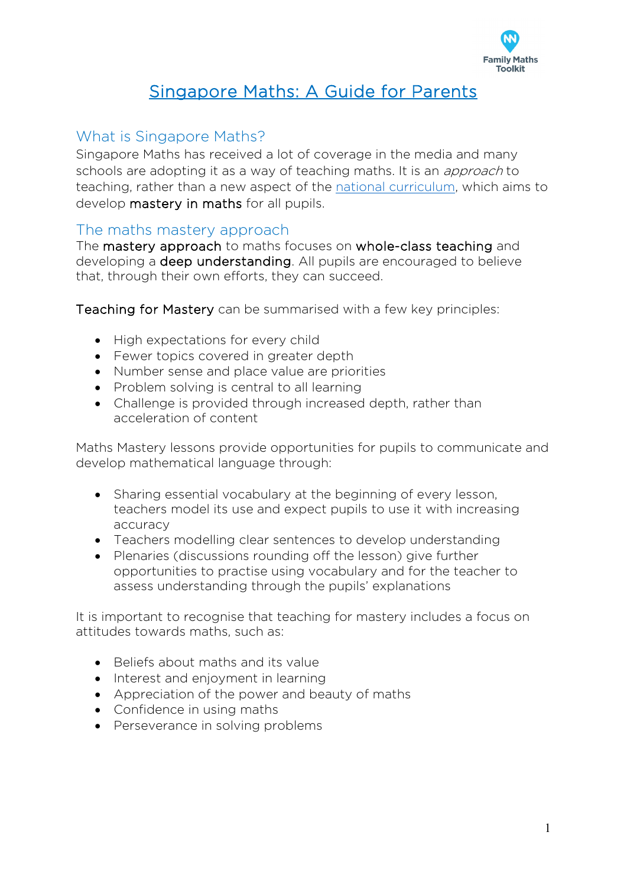

# Singapore Maths: A Guide for Parents

## What is Singapore Maths?

Singapore Maths has received a lot of coverage in the media and many schools are adopting it as a way of teaching maths. It is an *approach* to teaching, rather than a new aspect of the [national curriculum,](https://www.familymathstoolkit.org.uk/how-the-national-curriculum-works) which aims to develop mastery in maths for all pupils.

### The maths mastery approach

The mastery approach to maths focuses on whole-class teaching and developing a deep understanding. All pupils are encouraged to believe that, through their own efforts, they can succeed.

Teaching for Mastery can be summarised with a few key principles:

- High expectations for every child
- Fewer topics covered in greater depth
- Number sense and place value are priorities
- Problem solving is central to all learning
- Challenge is provided through increased depth, rather than acceleration of content

Maths Mastery lessons provide opportunities for pupils to communicate and develop mathematical language through:

- Sharing essential vocabulary at the beginning of every lesson, teachers model its use and expect pupils to use it with increasing accuracy
- Teachers modelling clear sentences to develop understanding
- Plenaries (discussions rounding off the lesson) give further opportunities to practise using vocabulary and for the teacher to assess understanding through the pupils' explanations

It is important to recognise that teaching for mastery includes a focus on attitudes towards maths, such as:

- Beliefs about maths and its value
- Interest and enjoyment in learning
- Appreciation of the power and beauty of maths
- Confidence in using maths
- Perseverance in solving problems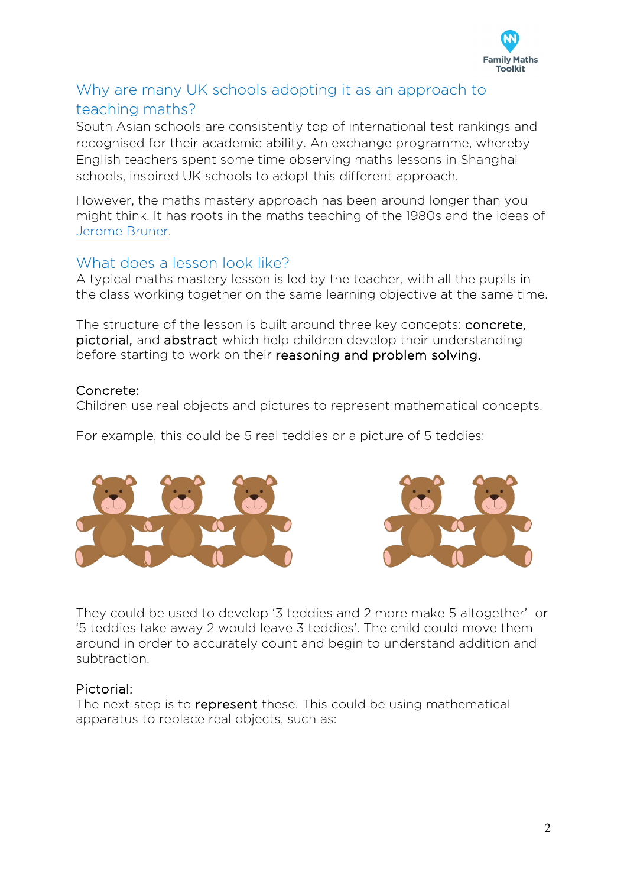

## Why are many UK schools adopting it as an approach to teaching maths?

South Asian schools are consistently top of international test rankings and recognised for their academic ability. An exchange programme, whereby English teachers spent some time observing maths lessons in Shanghai schools, inspired UK schools to adopt this different approach.

However, the maths mastery approach has been around longer than you might think. It has roots in the maths teaching of the 1980s and the ideas of [Jerome Bruner.](https://mathsnoproblem.com/jerome-bruner-theories-put-into-practice/)

### What does a lesson look like?

A typical maths mastery lesson is led by the teacher, with all the pupils in the class working together on the same learning objective at the same time.

The structure of the lesson is built around three key concepts: concrete, pictorial, and abstract which help children develop their understanding before starting to work on their reasoning and problem solving.

#### Concrete:

Children use real objects and pictures to represent mathematical concepts.

For example, this could be 5 real teddies or a picture of 5 teddies:





They could be used to develop '3 teddies and 2 more make 5 altogether' or '5 teddies take away 2 would leave 3 teddies'. The child could move them around in order to accurately count and begin to understand addition and subtraction.

#### Pictorial:

The next step is to represent these. This could be using mathematical apparatus to replace real objects, such as: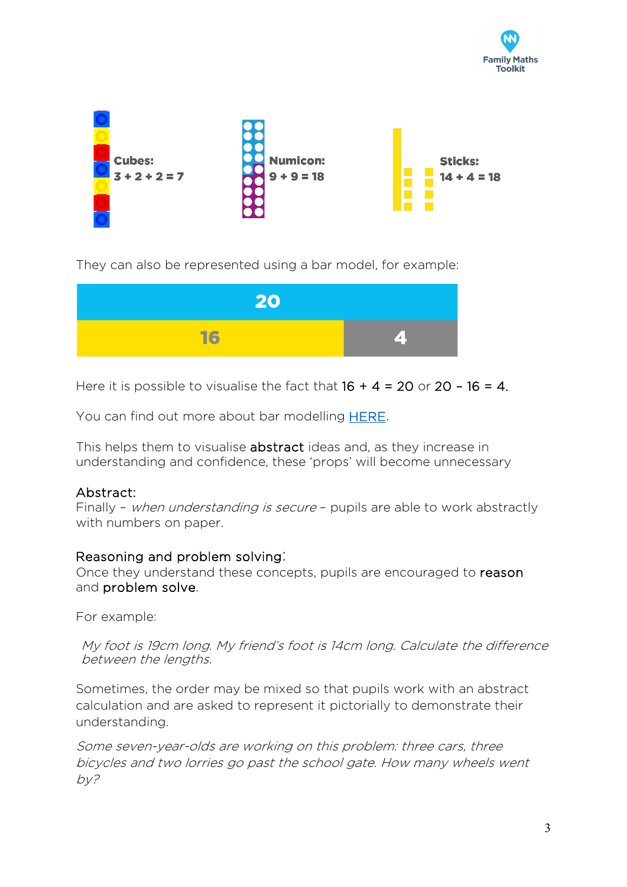



They can also be represented using a bar model, for example:



Here it is possible to visualise the fact that  $16 + 4 = 20$  or  $20 - 16 = 4$ .

You can find out more about bar modelling [HERE.](https://www.bbc.co.uk/bitesize/topics/z83rkqt/articles/zv7r97h)

This helps them to visualise **abstract** ideas and, as they increase in understanding and confidence, these 'props' will become unnecessary

#### Abstract:

Finally - when understanding is secure - pupils are able to work abstractly with numbers on paper.

#### Reasoning and problem solving:

Once they understand these concepts, pupils are encouraged to reason and problem solve.

For example:

My foot is 19cm long. My friend's foot is 14cm long. Calculate the difference between the lengths.

Sometimes, the order may be mixed so that pupils work with an abstract calculation and are asked to represent it pictorially to demonstrate their understanding.

Some seven-year-olds are working on this problem: three cars, three bicycles and two lorries go past the school gate. How many wheels went  $by?$